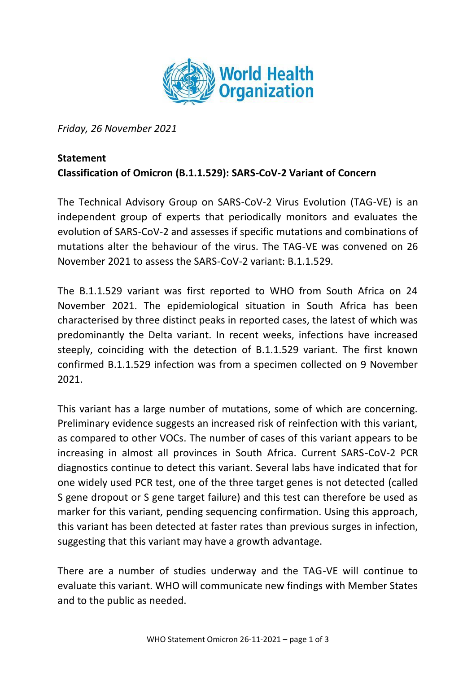

*Friday, 26 November 2021*

## **Statement**

## **Classification of Omicron (B.1.1.529): SARS-CoV-2 Variant of Concern**

The Technical Advisory Group on SARS-CoV-2 Virus Evolution (TAG-VE) is an independent group of experts that periodically monitors and evaluates the evolution of SARS-CoV-2 and assesses if specific mutations and combinations of mutations alter the behaviour of the virus. The TAG-VE was convened on 26 November 2021 to assess the SARS-CoV-2 variant: B.1.1.529.

The B.1.1.529 variant was first reported to WHO from South Africa on 24 November 2021. The epidemiological situation in South Africa has been characterised by three distinct peaks in reported cases, the latest of which was predominantly the Delta variant. In recent weeks, infections have increased steeply, coinciding with the detection of B.1.1.529 variant. The first known confirmed B.1.1.529 infection was from a specimen collected on 9 November 2021.

This variant has a large number of mutations, some of which are concerning. Preliminary evidence suggests an increased risk of reinfection with this variant, as compared to other VOCs. The number of cases of this variant appears to be increasing in almost all provinces in South Africa. Current SARS-CoV-2 PCR diagnostics continue to detect this variant. Several labs have indicated that for one widely used PCR test, one of the three target genes is not detected (called S gene dropout or S gene target failure) and this test can therefore be used as marker for this variant, pending sequencing confirmation. Using this approach, this variant has been detected at faster rates than previous surges in infection, suggesting that this variant may have a growth advantage.

There are a number of studies underway and the TAG-VE will continue to evaluate this variant. WHO will communicate new findings with Member States and to the public as needed.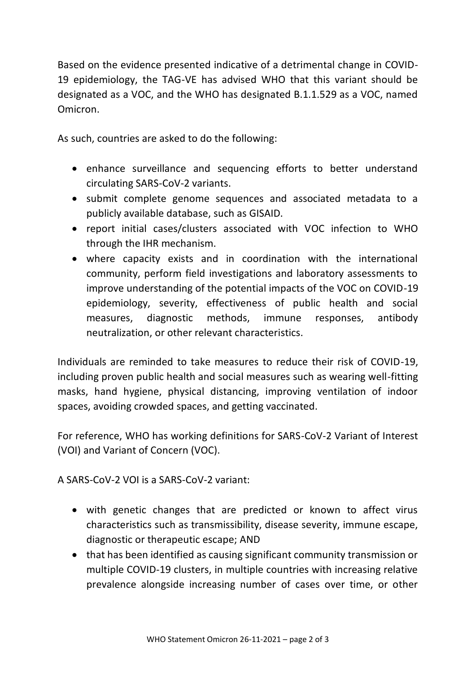Based on the evidence presented indicative of a detrimental change in COVID-19 epidemiology, the TAG-VE has advised WHO that this variant should be designated as a VOC, and the WHO has designated B.1.1.529 as a VOC, named Omicron.

As such, countries are asked to do the following:

- enhance surveillance and sequencing efforts to better understand circulating SARS-CoV-2 variants.
- submit complete genome sequences and associated metadata to a publicly available database, such as GISAID.
- report initial cases/clusters associated with VOC infection to WHO through the IHR mechanism.
- where capacity exists and in coordination with the international community, perform field investigations and laboratory assessments to improve understanding of the potential impacts of the VOC on COVID-19 epidemiology, severity, effectiveness of public health and social measures, diagnostic methods, immune responses, antibody neutralization, or other relevant characteristics.

Individuals are reminded to take measures to reduce their risk of COVID-19, including proven public health and social measures such as wearing well-fitting masks, hand hygiene, physical distancing, improving ventilation of indoor spaces, avoiding crowded spaces, and getting vaccinated.

For reference, WHO has working definitions for SARS-CoV-2 Variant of Interest (VOI) and Variant of Concern (VOC).

A SARS-CoV-2 VOI is a SARS-CoV-2 variant:

- with genetic changes that are predicted or known to affect virus characteristics such as transmissibility, disease severity, immune escape, diagnostic or therapeutic escape; AND
- that has been identified as causing significant community transmission or multiple COVID-19 clusters, in multiple countries with increasing relative prevalence alongside increasing number of cases over time, or other